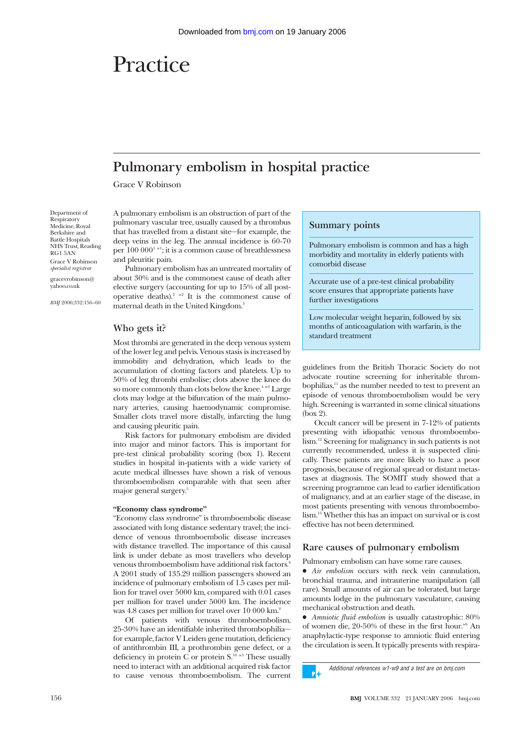# Practice

# **Pulmonary embolism in hospital practice**

Grace V Robinson

Department of Respiratory Medicine, Royal Berkshire and Battle Hospitals NHS Trust, Reading RG1 5AN Grace V Robinson *specialist registrar* gracevrobinson@ yahoo.co.uk

*BMJ* 2006;332:156–60

A pulmonary embolism is an obstruction of part of the pulmonary vascular tree, usually caused by a thrombus that has travelled from a distant site—for example, the deep veins in the leg. The annual incidence is 60-70 per  $100\ 000^{1}$  w<sup>1</sup>; it is a common cause of breathlessness and pleuritic pain.

Pulmonary embolism has an untreated mortality of about 30% and is the commonest cause of death after elective surgery (accounting for up to 15% of all postoperative deaths).<sup>2 w2</sup> It is the commonest cause of maternal death in the United Kingdom.3

# **Who gets it?**

Most thrombi are generated in the deep venous system of the lower leg and pelvis. Venous stasis is increased by immobility and dehydration, which leads to the accumulation of clotting factors and platelets. Up to 50% of leg thrombi embolise; clots above the knee do so more commonly than clots below the knee.<sup>4 w3</sup> Large clots may lodge at the bifurcation of the main pulmonary arteries, causing haemodynamic compromise. Smaller clots travel more distally, infarcting the lung and causing pleuritic pain.

Risk factors for pulmonary embolism are divided into major and minor factors. This is important for pre-test clinical probability scoring (box 1). Recent studies in hospital in-patients with a wide variety of acute medical illnesses have shown a risk of venous thromboembolism comparable with that seen after major general surgery.5

#### **"Economy class syndrome"**

"Economy class syndrome" is thromboembolic disease associated with long distance sedentary travel; the incidence of venous thromboembolic disease increases with distance travelled. The importance of this causal link is under debate as most travellers who develop venous thromboembolism have additional risk factors.<sup>8</sup> A 2001 study of 135.29 million passengers showed an incidence of pulmonary embolism of 1.5 cases per million for travel over 5000 km, compared with 0.01 cases per million for travel under 5000 km. The incidence was 4.8 cases per million for travel over 10 000 km.9

Of patients with venous thromboembolism, 25-30% have an identifiable inherited thrombophilia for example, factor V Leiden gene mutation, deficiency of antithrombin III, a prothrombin gene defect, or a deficiency in protein C or protein  $S<sup>10 w5</sup>$  These usually need to interact with an additional acquired risk factor to cause venous thromboembolism. The current

#### **Summary points**

Pulmonary embolism is common and has a high morbidity and mortality in elderly patients with comorbid disease

Accurate use of a pre-test clinical probability score ensures that appropriate patients have further investigations

Low molecular weight heparin, followed by six months of anticoagulation with warfarin, is the standard treatment

guidelines from the British Thoracic Society do not advocate routine screening for inheritable thrombophilias, $11$  as the number needed to test to prevent an episode of venous thromboembolism would be very high. Screening is warranted in some clinical situations (box 2).

Occult cancer will be present in 7-12% of patients presenting with idiopathic venous thromboembolism.12 Screening for malignancy in such patients is not currently recommended, unless it is suspected clinically. These patients are more likely to have a poor prognosis, because of regional spread or distant metastases at diagnosis. The SOMIT study showed that a screening programme can lead to earlier identification of malignancy, and at an earlier stage of the disease, in most patients presenting with venous thromboembolism.13 Whether this has an impact on survival or is cost effective has not been determined.

# **Rare causes of pulmonary embolism**

Pulmonary embolism can have some rare causes.

• *Air embolism* occurs with neck vein cannulation, bronchial trauma, and intrauterine manipulation (all rare). Small amounts of air can be tolerated, but large amounts lodge in the pulmonary vasculature, causing mechanical obstruction and death.

• *Amniotic fluid embolism* is usually catastrophic: 80% of women die,  $20-50%$  of these in the first hour.<sup>w6</sup> An anaphylactic-type response to amniotic fluid entering the circulation is seen. It typically presents with respira-

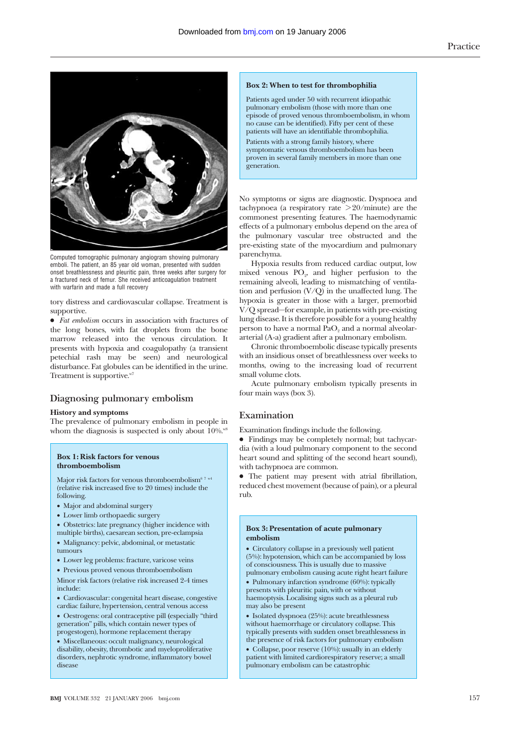

Computed tomographic pulmonary angiogram showing pulmonary emboli. The patient, an 85 year old woman, presented with sudden onset breathlessness and pleuritic pain, three weeks after surgery for a fractured neck of femur. She received anticoagulation treatment with warfarin and made a full recovery

tory distress and cardiovascular collapse. Treatment is supportive.

• *Fat embolism* occurs in association with fractures of the long bones, with fat droplets from the bone marrow released into the venous circulation. It presents with hypoxia and coagulopathy (a transient petechial rash may be seen) and neurological disturbance. Fat globules can be identified in the urine. Treatment is supportive.<sup>w7</sup>

# **Diagnosing pulmonary embolism**

#### **History and symptoms**

The prevalence of pulmonary embolism in people in whom the diagnosis is suspected is only about  $10\%$ .<sup>w8</sup>

#### **Box 1: Risk factors for venous thromboembolism**

Major risk factors for venous thromboembolism<sup>67 w4</sup> (relative risk increased five to 20 times) include the following.

- Major and abdominal surgery
- Lower limb orthopaedic surgery

• Obstetrics: late pregnancy (higher incidence with

- multiple births), caesarean section, pre-eclampsia • Malignancy: pelvic, abdominal, or metastatic
- tumours
- Lower leg problems: fracture, varicose veins
- Previous proved venous thromboembolism

Minor risk factors (relative risk increased 2-4 times include:

- Cardiovascular: congenital heart disease, congestive cardiac failure, hypertension, central venous access
- Oestrogens: oral contraceptive pill **(**especially "third generation" pills, which contain newer types of progestogen), hormone replacement therapy

• Miscellaneous: occult malignancy, neurological disability, obesity, thrombotic and myeloproliferative disorders, nephrotic syndrome, inflammatory bowel disease

#### **Box 2: When to test for thrombophilia**

Patients aged under 50 with recurrent idiopathic pulmonary embolism (those with more than one episode of proved venous thromboembolism, in whom no cause can be identified). Fifty per cent of these patients will have an identifiable thrombophilia.

Patients with a strong family history, where symptomatic venous thromboembolism has been proven in several family members in more than one generation.

No symptoms or signs are diagnostic. Dyspnoea and tachypnoea (a respiratory rate  $>20/m$ inute) are the commonest presenting features. The haemodynamic effects of a pulmonary embolus depend on the area of the pulmonary vascular tree obstructed and the pre-existing state of the myocardium and pulmonary parenchyma.

Hypoxia results from reduced cardiac output, low mixed venous PO<sub>2</sub>, and higher perfusion to the remaining alveoli, leading to mismatching of ventilation and perfusion  $(V/Q)$  in the unaffected lung. The hypoxia is greater in those with a larger, premorbid V/Q spread—for example, in patients with pre-existing lung disease. It is therefore possible for a young healthy person to have a normal PaO<sub>2</sub> and a normal alveolararterial (A-a) gradient after a pulmonary embolism.

Chronic thromboembolic disease typically presents with an insidious onset of breathlessness over weeks to months, owing to the increasing load of recurrent small volume clots.

Acute pulmonary embolism typically presents in four main ways (box 3).

### **Examination**

Examination findings include the following.

x Findings may be completely normal; but tachycardia (with a loud pulmonary component to the second heart sound and splitting of the second heart sound), with tachypnoea are common.

• The patient may present with atrial fibrillation, reduced chest movement (because of pain), or a pleural rub.

#### **Box 3: Presentation of acute pulmonary embolism**

• Circulatory collapse in a previously well patient (5%): hypotension, which can be accompanied by loss of consciousness. This is usually due to massive pulmonary embolism causing acute right heart failure

• Pulmonary infarction syndrome (60%): typically presents with pleuritic pain, with or without haemoptysis. Localising signs such as a pleural rub may also be present

• Isolated dyspnoea (25%): acute breathlessness without haemorrhage or circulatory collapse. This typically presents with sudden onset breathlessness in the presence of risk factors for pulmonary embolism

• Collapse, poor reserve (10%): usually in an elderly patient with limited cardiorespiratory reserve; a small pulmonary embolism can be catastrophic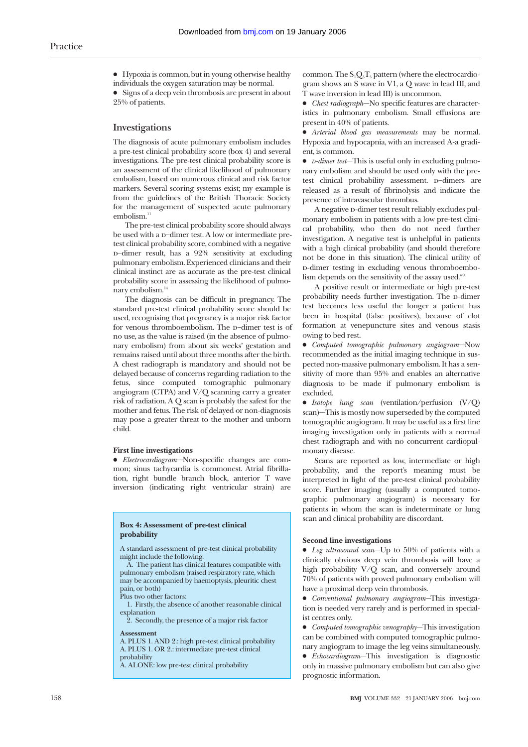$\bullet$  Hypoxia is common, but in young otherwise healthy individuals the oxygen saturation may be normal.

 $\bullet$  Signs of a deep vein thrombosis are present in about 25% of patients.

# **Investigations**

The diagnosis of acute pulmonary embolism includes a pre-test clinical probability score (box 4) and several investigations. The pre-test clinical probability score is an assessment of the clinical likelihood of pulmonary embolism, based on numerous clinical and risk factor markers. Several scoring systems exist; my example is from the guidelines of the British Thoracic Society for the management of suspected acute pulmonary embolism.<sup>11</sup>

The pre-test clinical probability score should always be used with a p−dimer test. A low or intermediate pretest clinical probability score, combined with a negative d−dimer result, has a 92% sensitivity at excluding pulmonary embolism. Experienced clinicians and their clinical instinct are as accurate as the pre-test clinical probability score in assessing the likelihood of pulmonary embolism.<sup>14</sup>

The diagnosis can be difficult in pregnancy. The standard pre-test clinical probability score should be used, recognising that pregnancy is a major risk factor for venous thromboembolism. The D-dimer test is of no use, as the value is raised (in the absence of pulmonary embolism) from about six weeks' gestation and remains raised until about three months after the birth. A chest radiograph is mandatory and should not be delayed because of concerns regarding radiation to the fetus, since computed tomographic pulmonary angiogram (CTPA) and V/Q scanning carry a greater risk of radiation. A Q scan is probably the safest for the mother and fetus. The risk of delayed or non-diagnosis may pose a greater threat to the mother and unborn child.

#### **First line investigations**

x *Electrocardiogram*—Non-specific changes are common; sinus tachycardia is commonest. Atrial fibrillation, right bundle branch block, anterior T wave inversion (indicating right ventricular strain) are

#### **Box 4: Assessment of pre-test clinical probability**

A standard assessment of pre-test clinical probability might include the following.

A. The patient has clinical features compatible with pulmonary embolism (raised respiratory rate, which may be accompanied by haemoptysis, pleuritic chest pain, or both)

Plus two other factors:

1. Firstly, the absence of another reasonable clinical explanation

2. Secondly, the presence of a major risk factor

#### **Assessment**

A. PLUS 1. AND 2.: high pre-test clinical probability A. PLUS 1. OR 2.: intermediate pre-test clinical probability

A. ALONE: low pre-test clinical probability

common. The  $S_1Q_3T_3$  pattern (where the electrocardiogram shows an S wave in V1, a Q wave in lead III, and T wave inversion in lead III) is uncommon.

x *Chest radiograph*—No specific features are characteristics in pulmonary embolism. Small effusions are present in 40% of patients.

x *Arterial blood gas measurements* may be normal. Hypoxia and hypocapnia, with an increased A-a gradient, is common.

• *D-dimer test*—This is useful only in excluding pulmonary embolism and should be used only with the pretest clinical probability assessment. D-dimers are released as a result of fibrinolysis and indicate the presence of intravascular thrombus.

A negative p-dimer test result reliably excludes pulmonary embolism in patients with a low pre-test clinical probability, who then do not need further investigation. A negative test is unhelpful in patients with a high clinical probability (and should therefore not be done in this situation). The clinical utility of d-dimer testing in excluding venous thromboembolism depends on the sensitivity of the assay used. $w<sup>9</sup>$ 

A positive result or intermediate or high pre-test probability needs further investigation. The D-dimer test becomes less useful the longer a patient has been in hospital (false positives), because of clot formation at venepuncture sites and venous stasis owing to bed rest.

x *Computed tomographic pulmonary angiogram*—Now recommended as the initial imaging technique in suspected non-massive pulmonary embolism. It has a sensitivity of more than 95% and enables an alternative diagnosis to be made if pulmonary embolism is excluded.

x *Isotope lung scan* (ventilation/perfusion (V/Q) scan)—This is mostly now superseded by the computed tomographic angiogram. It may be useful as a first line imaging investigation only in patients with a normal chest radiograph and with no concurrent cardiopulmonary disease.

Scans are reported as low, intermediate or high probability, and the report's meaning must be interpreted in light of the pre-test clinical probability score. Further imaging (usually a computed tomographic pulmonary angiogram) is necessary for patients in whom the scan is indeterminate or lung scan and clinical probability are discordant.

#### **Second line investigations**

• *Leg ultrasound scan*—Up to 50% of patients with a clinically obvious deep vein thrombosis will have a high probability V/Q scan, and conversely around 70% of patients with proved pulmonary embolism will have a proximal deep vein thrombosis.

x *Conventional pulmonary angiogram—*This investigation is needed very rarely and is performed in specialist centres only.

x *Computed tomographic venography*—This investigation can be combined with computed tomographic pulmonary angiogram to image the leg veins simultaneously.

x *Echocardiogram*—This investigation is diagnostic only in massive pulmonary embolism but can also give prognostic information.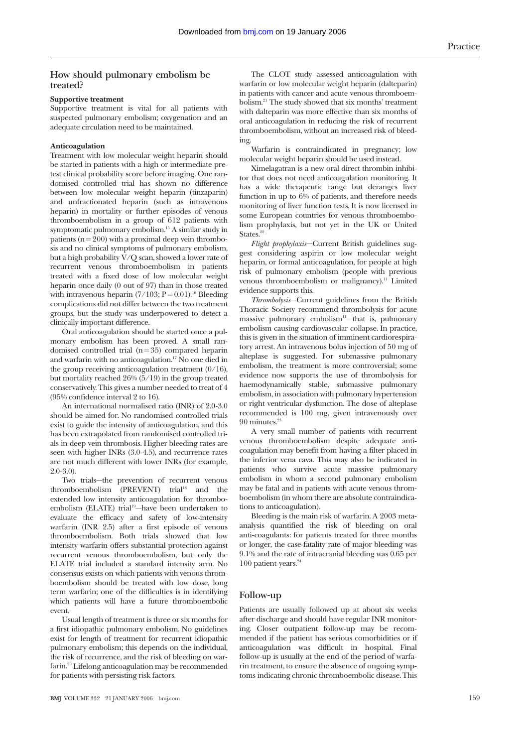# **How should pulmonary embolism be treated?**

#### **Supportive treatment**

Supportive treatment is vital for all patients with suspected pulmonary embolism; oxygenation and an adequate circulation need to be maintained.

#### **Anticoagulation**

Treatment with low molecular weight heparin should be started in patients with a high or intermediate pretest clinical probability score before imaging. One randomised controlled trial has shown no difference between low molecular weight heparin (tinzaparin) and unfractionated heparin (such as intravenous heparin) in mortality or further episodes of venous thromboembolism in a group of 612 patients with symptomatic pulmonary embolism.15 A similar study in patients ( $n = 200$ ) with a proximal deep vein thrombosis and no clinical symptoms of pulmonary embolism, but a high probability  $V/Q$  scan, showed a lower rate of recurrent venous thromboembolism in patients treated with a fixed dose of low molecular weight heparin once daily (0 out of 97) than in those treated with intravenous heparin  $(7/103; P = 0.01)$ .<sup>16</sup> Bleeding complications did not differ between the two treatment groups, but the study was underpowered to detect a clinically important difference.

Oral anticoagulation should be started once a pulmonary embolism has been proved. A small randomised controlled trial  $(n=35)$  compared heparin and warfarin with no anticoagulation.17 No one died in the group receiving anticoagulation treatment (0/16), but mortality reached 26% (5/19) in the group treated conservatively. This gives a number needed to treat of 4 (95% confidence interval 2 to 16).

An international normalised ratio (INR) of 2.0-3.0 should be aimed for. No randomised controlled trials exist to guide the intensity of anticoagulation, and this has been extrapolated from randomised controlled trials in deep vein thrombosis. Higher bleeding rates are seen with higher INRs (3.0-4.5), and recurrence rates are not much different with lower INRs (for example, 2.0-3.0).

Two trials—the prevention of recurrent venous thromboembolism (PREVENT) trial<sup>18</sup> and the extended low intensity anticoagulation for thromboembolism (ELATE) trial<sup>19</sup>-have been undertaken to evaluate the efficacy and safety of low-intensity warfarin (INR 2.5) after a first episode of venous thromboembolism. Both trials showed that low intensity warfarin offers substantial protection against recurrent venous thromboembolism, but only the ELATE trial included a standard intensity arm. No consensus exists on which patients with venous thromboembolism should be treated with low dose, long term warfarin; one of the difficulties is in identifying which patients will have a future thromboembolic event.

Usual length of treatment is three or six months for a first idiopathic pulmonary embolism. No guidelines exist for length of treatment for recurrent idiopathic pulmonary embolism; this depends on the individual, the risk of recurrence, and the risk of bleeding on warfarin.20 Lifelong anticoagulation may be recommended for patients with persisting risk factors.

The CLOT study assessed anticoagulation with warfarin or low molecular weight heparin (dalteparin) in patients with cancer and acute venous thromboembolism.21 The study showed that six months' treatment with dalteparin was more effective than six months of oral anticoagulation in reducing the risk of recurrent thromboembolism, without an increased risk of bleeding.

Warfarin is contraindicated in pregnancy; low molecular weight heparin should be used instead.

Ximelagatran is a new oral direct thrombin inhibitor that does not need anticoagulation monitoring. It has a wide therapeutic range but deranges liver function in up to 6% of patients, and therefore needs monitoring of liver function tests. It is now licensed in some European countries for venous thromboembolism prophylaxis, but not yet in the UK or United States.<sup>22</sup>

*Flight prophylaxis*—Current British guidelines suggest considering aspirin or low molecular weight heparin, or formal anticoagulation, for people at high risk of pulmonary embolism (people with previous venous thromboembolism or malignancy).11 Limited evidence supports this.

*Thrombolysis*—Current guidelines from the British Thoracic Society recommend thrombolysis for acute massive pulmonary embolism $11$ -that is, pulmonary embolism causing cardiovascular collapse. In practice, this is given in the situation of imminent cardiorespiratory arrest. An intravenous bolus injection of 50 mg of alteplase is suggested. For submassive pulmonary embolism, the treatment is more controversial; some evidence now supports the use of thrombolysis for haemodynamically stable, submassive pulmonary embolism, in association with pulmonary hypertension or right ventricular dysfunction. The dose of alteplase recommended is 100 mg, given intravenously over 90 minutes.<sup>23</sup>

A very small number of patients with recurrent venous thromboembolism despite adequate anticoagulation may benefit from having a filter placed in the inferior vena cava. This may also be indicated in patients who survive acute massive pulmonary embolism in whom a second pulmonary embolism may be fatal and in patients with acute venous thromboembolism (in whom there are absolute contraindications to anticoagulation).

Bleeding is the main risk of warfarin. A 2003 metaanalysis quantified the risk of bleeding on oral anti-coagulants: for patients treated for three months or longer, the case-fatality rate of major bleeding was 9.1% and the rate of intracranial bleeding was 0.65 per 100 patient-years. $24$ 

# **Follow-up**

Patients are usually followed up at about six weeks after discharge and should have regular INR monitoring. Closer outpatient follow-up may be recommended if the patient has serious comorbidities or if anticoagulation was difficult in hospital. Final follow-up is usually at the end of the period of warfarin treatment, to ensure the absence of ongoing symptoms indicating chronic thromboembolic disease. This